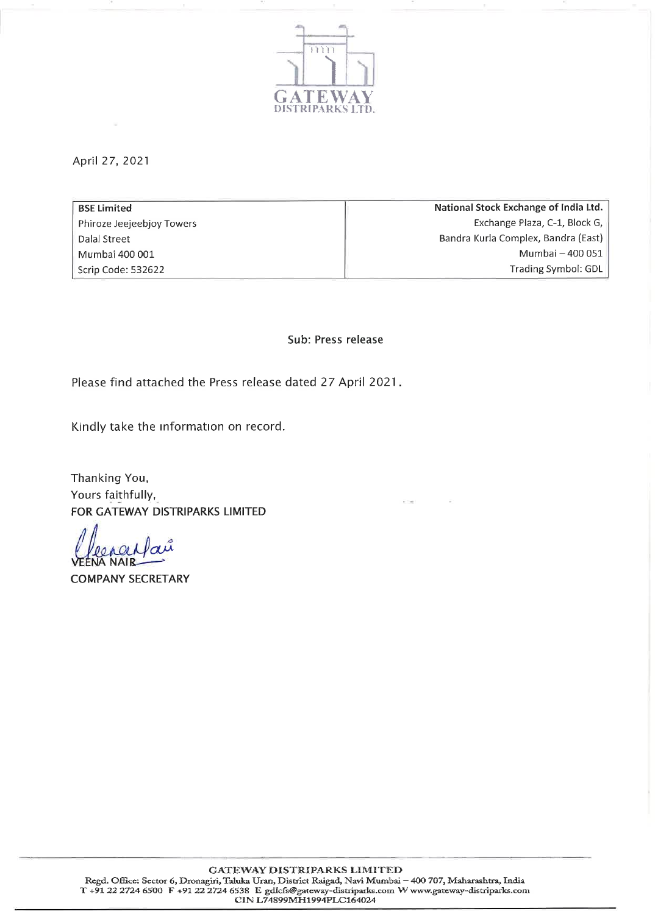

April 27, 2021

| <b>BSE Limited</b>        | National Stock Exchange of India Ltd. |
|---------------------------|---------------------------------------|
| Phiroze Jeejeebjoy Towers | Exchange Plaza, C-1, Block G,         |
| Dalal Street              | Bandra Kurla Complex, Bandra (East)   |
| Mumbai 400 001            | Mumbai - 400 051                      |
| Scrip Code: 532622        | Trading Symbol: GDL                   |
|                           |                                       |

Sub: Press release

Please find attached the Press release dated 27 April 2021.

Kindly take the information on record.

Thanking You, Yours faithfully, FOR GATEWAY DISTRIPARKS LIMITED

**A NAIR** 

**COMPANY SECRETARY**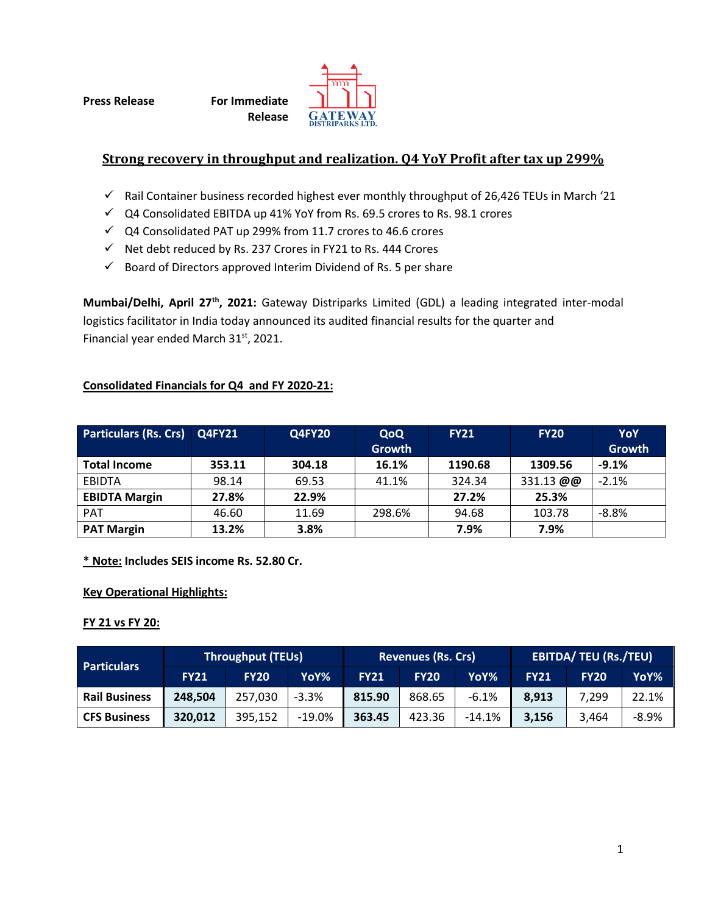**Press Release For Immediate** 

**Release**



## **Strong recovery in throughput and realization. Q4 YoY Profit after tax up 299%**

- $\checkmark$  Rail Container business recorded highest ever monthly throughput of 26,426 TEUs in March '21
- $\checkmark$  Q4 Consolidated EBITDA up 41% YoY from Rs. 69.5 crores to Rs. 98.1 crores
- $\checkmark$  Q4 Consolidated PAT up 299% from 11.7 crores to 46.6 crores
- $\checkmark$  Net debt reduced by Rs. 237 Crores in FY21 to Rs. 444 Crores
- $\checkmark$  Board of Directors approved Interim Dividend of Rs. 5 per share

**Mumbai/Delhi, April 27th, 2021:** Gateway Distriparks Limited (GDL) a leading integrated inter-modal logistics facilitator in India today announced its audited financial results for the quarter and Financial year ended March 31st, 2021.

### **Consolidated Financials for Q4 and FY 2020-21:**

| <b>Particulars (Rs. Crs)</b> | <b>Q4FY21</b> | <b>Q4FY20</b> | QoQ<br>Growth | <b>FY21</b> | <b>FY20</b> | YoY<br>Growth |
|------------------------------|---------------|---------------|---------------|-------------|-------------|---------------|
|                              |               |               |               |             |             | $-9.1%$       |
| <b>Total Income</b>          | 353.11        | 304.18        | 16.1%         | 1190.68     | 1309.56     |               |
| <b>EBIDTA</b>                | 98.14         | 69.53         | 41.1%         | 324.34      | 331.13 @@   | $-2.1%$       |
| <b>EBIDTA Margin</b>         | 27.8%         | 22.9%         |               | 27.2%       | 25.3%       |               |
| <b>PAT</b>                   | 46.60         | 11.69         | 298.6%        | 94.68       | 103.78      | $-8.8%$       |
| <b>PAT Margin</b>            | 13.2%         | 3.8%          |               | 7.9%        | 7.9%        |               |

**\* Note: Includes SEIS income Rs. 52.80 Cr.**

### **Key Operational Highlights:**

### **FY 21 vs FY 20:**

|                      | <b>Throughput (TEUs)</b> |             |          | <b>Revenues (Rs. Crs)</b> |             |          | <b>EBITDA/ TEU (Rs./TEU)</b> |             |       |
|----------------------|--------------------------|-------------|----------|---------------------------|-------------|----------|------------------------------|-------------|-------|
| <b>Particulars</b>   | <b>FY21</b>              | <b>FY20</b> | YoY%     | <b>FY21</b>               | <b>FY20</b> | YoY%     | <b>FY21</b>                  | <b>FY20</b> | YoY%  |
| <b>Rail Business</b> | 248,504                  | 257,030     | $-3.3%$  | 815.90                    | 868.65      | $-6.1%$  | 8.913                        | 7.299       | 22.1% |
| <b>CFS Business</b>  | 320,012                  | 395.152     | $-19.0%$ | 363.45                    | 423.36      | $-14.1%$ | 3,156                        | 3.464       | -8.9% |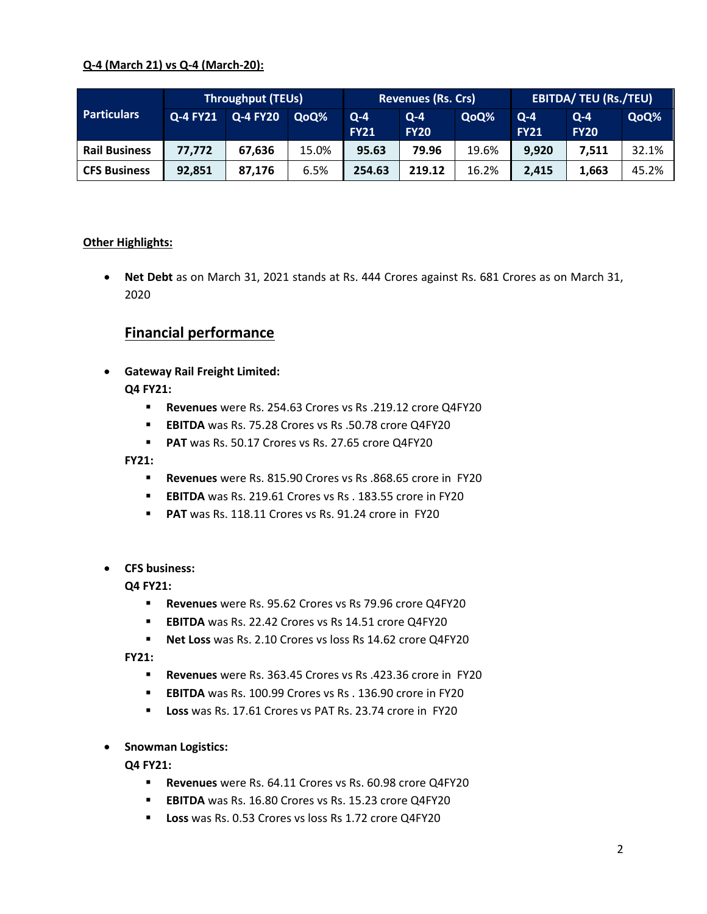## **Q-4 (March 21) vs Q-4 (March-20):**

|                      | <b>Throughput (TEUs)</b> |                 |       | <b>Revenues (Rs. Crs)</b> |                        |       | <b>EBITDA/ TEU (Rs./TEU)</b> |                        |       |
|----------------------|--------------------------|-----------------|-------|---------------------------|------------------------|-------|------------------------------|------------------------|-------|
| <b>Particulars</b>   | Q-4 FY21                 | <b>Q-4 FY20</b> | QoQ%  | $Q - 4$<br><b>FY21</b>    | $Q - 4$<br><b>FY20</b> | QoQ%  | $Q - 4$<br><b>FY21</b>       | $Q - 4$<br><b>FY20</b> | QoQ%  |
| <b>Rail Business</b> | 77,772                   | 67,636          | 15.0% | 95.63                     | 79.96                  | 19.6% | 9.920                        | 7.511                  | 32.1% |
| <b>CFS Business</b>  | 92,851                   | 87,176          | 6.5%  | 254.63                    | 219.12                 | 16.2% | 2,415                        | 1,663                  | 45.2% |

## **Other Highlights:**

 **Net Debt** as on March 31, 2021 stands at Rs. 444 Crores against Rs. 681 Crores as on March 31, 2020

# **Financial performance**

**Gateway Rail Freight Limited:**

**Q4 FY21:**

- **Revenues** were Rs. 254.63 Crores vs Rs .219.12 crore Q4FY20
- **EBITDA** was Rs. 75.28 Crores vs Rs .50.78 crore Q4FY20
- **PAT** was Rs. 50.17 Crores vs Rs. 27.65 crore Q4FY20

**FY21:**

- **Revenues** were Rs. 815.90 Crores vs Rs .868.65 crore in FY20
- **EBITDA** was Rs. 219.61 Crores vs Rs . 183.55 crore in FY20
- **PAT** was Rs. 118.11 Crores vs Rs. 91.24 crore in FY20
- **CFS business:**

**Q4 FY21:**

- **Revenues** were Rs. 95.62 Crores vs Rs 79.96 crore Q4FY20
- **EBITDA** was Rs. 22.42 Crores vs Rs 14.51 crore Q4FY20
- **Net Loss** was Rs. 2.10 Crores vs loss Rs 14.62 crore Q4FY20

**FY21:**

- **Revenues** were Rs. 363.45 Crores vs Rs .423.36 crore in FY20
- **EBITDA** was Rs. 100.99 Crores vs Rs . 136.90 crore in FY20
- **Loss** was Rs. 17.61 Crores vs PAT Rs. 23.74 crore in FY20
- **Snowman Logistics:**

**Q4 FY21:**

- **Revenues** were Rs. 64.11 Crores vs Rs. 60.98 crore Q4FY20
- **EBITDA** was Rs. 16.80 Crores vs Rs. 15.23 crore Q4FY20
- **Loss** was Rs. 0.53 Crores vs loss Rs 1.72 crore Q4FY20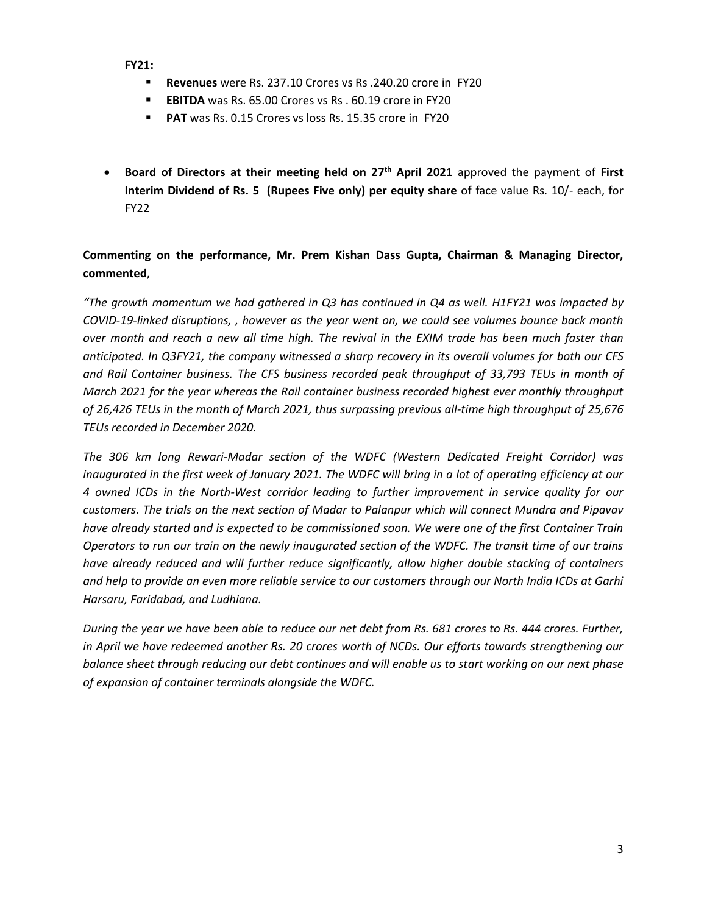**FY21:**

- **Revenues** were Rs. 237.10 Crores vs Rs .240.20 crore in FY20
- **EBITDA** was Rs. 65.00 Crores vs Rs . 60.19 crore in FY20
- **PAT** was Rs. 0.15 Crores vs loss Rs. 15.35 crore in FY20
- **Board of Directors at their meeting held on 27 th April 2021** approved the payment of **First Interim Dividend of Rs. 5 (Rupees Five only) per equity share** of face value Rs. 10/- each, for FY22

## **Commenting on the performance, Mr. Prem Kishan Dass Gupta, Chairman & Managing Director, commented**,

*"The growth momentum we had gathered in Q3 has continued in Q4 as well. H1FY21 was impacted by COVID-19-linked disruptions, , however as the year went on, we could see volumes bounce back month over month and reach a new all time high. The revival in the EXIM trade has been much faster than anticipated. In Q3FY21, the company witnessed a sharp recovery in its overall volumes for both our CFS and Rail Container business. The CFS business recorded peak throughput of 33,793 TEUs in month of March 2021 for the year whereas the Rail container business recorded highest ever monthly throughput of 26,426 TEUs in the month of March 2021, thus surpassing previous all-time high throughput of 25,676 TEUs recorded in December 2020.* 

*The 306 km long Rewari-Madar section of the WDFC (Western Dedicated Freight Corridor) was inaugurated in the first week of January 2021. The WDFC will bring in a lot of operating efficiency at our 4 owned ICDs in the North-West corridor leading to further improvement in service quality for our customers. The trials on the next section of Madar to Palanpur which will connect Mundra and Pipavav have already started and is expected to be commissioned soon. We were one of the first Container Train Operators to run our train on the newly inaugurated section of the WDFC. The transit time of our trains have already reduced and will further reduce significantly, allow higher double stacking of containers and help to provide an even more reliable service to our customers through our North India ICDs at Garhi Harsaru, Faridabad, and Ludhiana.*

*During the year we have been able to reduce our net debt from Rs. 681 crores to Rs. 444 crores. Further, in April we have redeemed another Rs. 20 crores worth of NCDs. Our efforts towards strengthening our balance sheet through reducing our debt continues and will enable us to start working on our next phase of expansion of container terminals alongside the WDFC.*